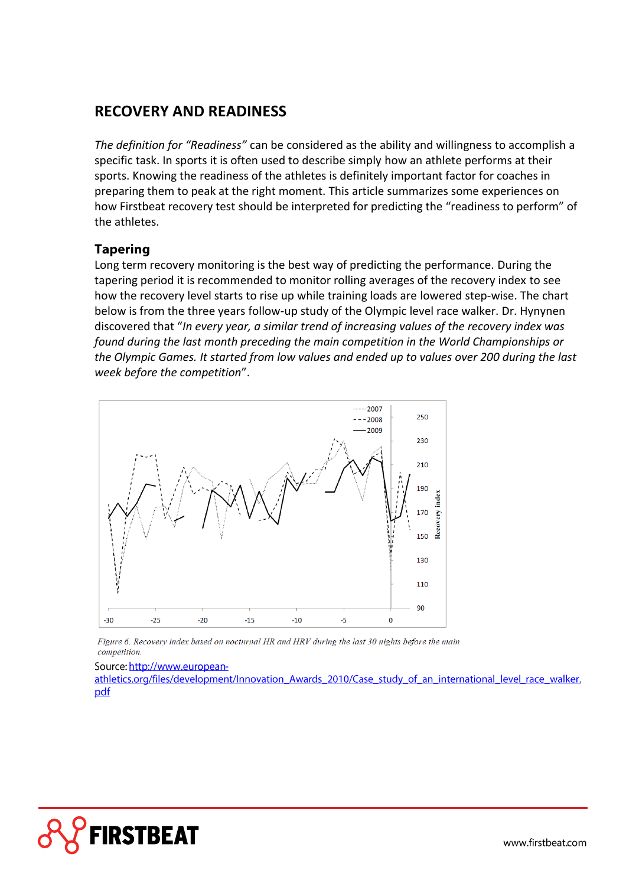# **RECOVERY AND READINESS**

*The definition for "Readiness"* can be considered as the ability and willingness to accomplish a specific task. In sports it is often used to describe simply how an athlete performs at their sports. Knowing the readiness of the athletes is definitely important factor for coaches in preparing them to peak at the right moment. This article summarizes some experiences on how Firstbeat recovery test should be interpreted for predicting the "readiness to perform" of the athletes.

### **Tapering**

Long term recovery monitoring is the best way of predicting the performance. During the tapering period it is recommended to monitor rolling averages of the recovery index to see how the recovery level starts to rise up while training loads are lowered step-wise. The chart below is from the three years follow-up study of the Olympic level race walker. Dr. Hynynen discovered that "*In every year, a similar trend of increasing values of the recovery index was found during the last month preceding the main competition in the World Championships or the Olympic Games. It started from low values and ended up to values over 200 during the last week before the competition*".



Figure 6. Recovery index based on nocturnal HR and HRV during the last 30 nights before the main competition.

Source: http://www.european-

athletics.org/files/development/Innovation Awards 2010/Case study of an international level race walker. pdf

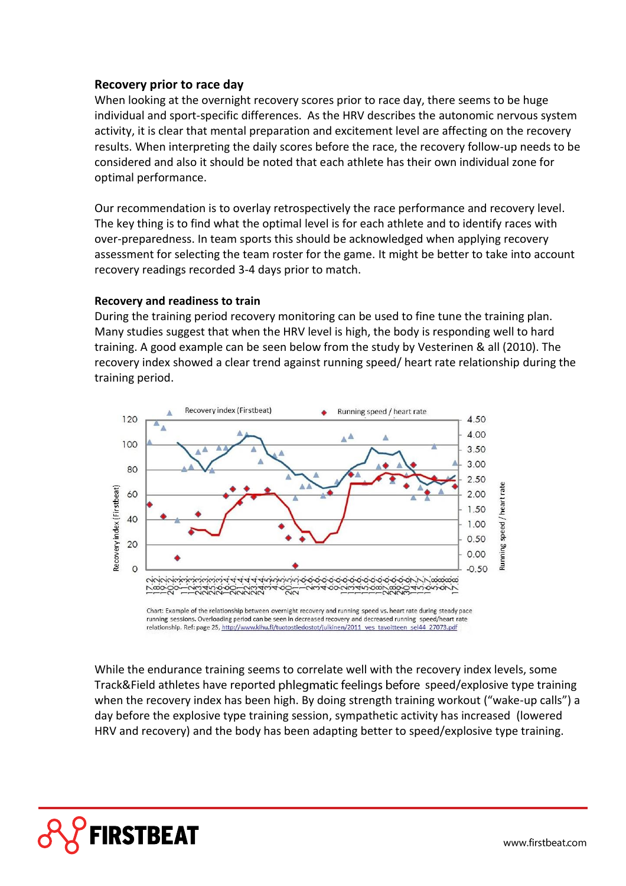#### **Recovery prior to race day**

When looking at the overnight recovery scores prior to race day, there seems to be huge individual and sport-specific differences. As the HRV describes the autonomic nervous system activity, it is clear that mental preparation and excitement level are affecting on the recovery results. When interpreting the daily scores before the race, the recovery follow-up needs to be considered and also it should be noted that each athlete has their own individual zone for optimal performance.

Our recommendation is to overlay retrospectively the race performance and recovery level. The key thing is to find what the optimal level is for each athlete and to identify races with over-preparedness. In team sports this should be acknowledged when applying recovery assessment for selecting the team roster for the game. It might be better to take into account recovery readings recorded 3-4 days prior to match.

#### **Recovery and readiness to train**

During the training period recovery monitoring can be used to fine tune the training plan. Many studies suggest that when the HRV level is high, the body is responding well to hard training. A good example can be seen below from the study by Vesterinen & all (2010). The recovery index showed a clear trend against running speed/ heart rate relationship during the training period.



Chart: Example of the relationship between overnight recovery and running speed vs. heart rate during steady pace running sessions. Overloading period can be seen in decreased recovery and decreased running speed/heart rate relationship. Ref: page 25, http://www.kihu.fi/tuotostiedostot/julkinen/2011 ves tavoitteen sel44 27073.pdf

While the endurance training seems to correlate well with the recovery index levels, some Track&Field athletes have reported phlegmatic feelings before speed/explosive type training when the recovery index has been high. By doing strength training workout ("wake-up calls") a day before the explosive type training session, sympathetic activity has increased (lowered HRV and recovery) and the body has been adapting better to speed/explosive type training.